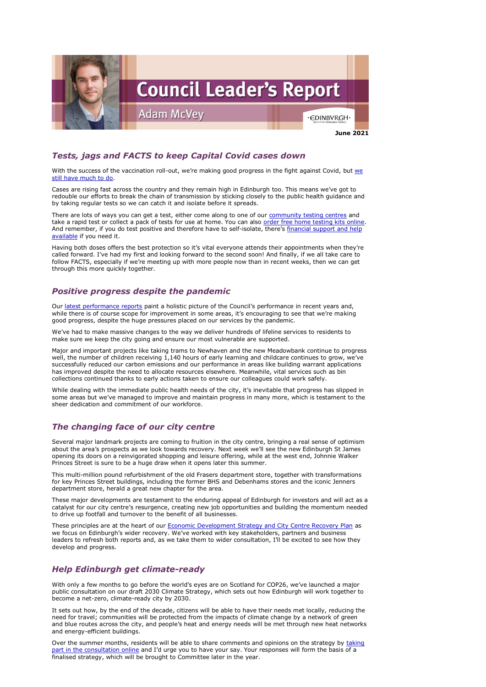

# *Tests, jags and FACTS to keep Capital Covid cases down*

With the success of the vaccination roll-out, we're making good progress in the fight against Covid, but we [still have much to do.](https://www.edinburgh.gov.uk/news/article/13232/tests-jags-facts-council-leaders-stress-three-ways-we-can-all-keep-capital-case-numbers-down)

Cases are rising fast across the country and they remain high in Edinburgh too. This means we've got to redouble our efforts to break the chain of transmission by sticking closely to the public health guidance and by taking regular tests so we can catch it and isolate before it spreads.

There are lots of ways you can get a test, either come along to one of our [community testing centres](https://www.edinburgh.gov.uk/coronavirus-4/covid-19-community-testing-people-no-covid-19-symptoms/1) and take a rapid test or collect a pack of tests for use at home. You can also [order free home testing kits online.](https://www.gov.uk/order-coronavirus-rapid-lateral-flow-tests) And remember, if you do test positive and therefore have to self-isolate, there's financial support and help [available](https://www.edinburgh.gov.uk/coronavirus-4/covid-19-community-testing-people-no-covid-19-symptoms/2?documentId=13127&categoryId=20297) if you need it.

Our [latest performance reports](https://www.edinburgh.gov.uk/news/article/13223/council-makes-positive-progress-despite-pressures-of-covid-on-services) paint a holistic picture of the Council's performance in recent years and, while there is of course scope for improvement in some areas, it's encouraging to see that we're making good progress, despite the huge pressures placed on our services by the pandemic.

Having both doses offers the best protection so it's vital everyone attends their appointments when they're called forward. I've had my first and looking forward to the second soon! And finally, if we all take care to follow FACTS, especially if we're meeting up with more people now than in recent weeks, then we can get through this more quickly together.

# *Positive progress despite the pandemic*

We've had to make massive changes to the way we deliver hundreds of lifeline services to residents to make sure we keep the city going and ensure our most vulnerable are supported.

These principles are at the heart of our **Economic Development Strategy and City Centre Recovery Plan** as we focus on Edinburgh's wider recovery. We've worked with key stakeholders, partners and business leaders to refresh both reports and, as we take them to wider consultation, I'll be excited to see how they develop and progress.

Major and important projects like taking trams to Newhaven and the new Meadowbank continue to progress well, the number of children receiving 1,140 hours of early learning and childcare continues to grow, we've successfully reduced our carbon emissions and our performance in areas like building warrant applications has improved despite the need to allocate resources elsewhere. Meanwhile, vital services such as bin collections continued thanks to early actions taken to ensure our colleagues could work safely.

While dealing with the immediate public health needs of the city, it's inevitable that progress has slipped in some areas but we've managed to improve and maintain progress in many more, which is testament to the sheer dedication and commitment of our workforce.

Over the summer months, residents will be able to share comments and opinions on the strategy by taking [part in the consultation online](https://consultationhub.edinburgh.gov.uk/ce/2030-climate-strategy/) and I'd urge you to have your say. Your responses will form the basis of a finalised strategy, which will be brought to Committee later in the year.

# *The changing face of our city centre*

Several major landmark projects are coming to fruition in the city centre, bringing a real sense of optimism about the area's prospects as we look towards recovery. Next week we'll see the new Edinburgh St James opening its doors on a reinvigorated shopping and leisure offering, while at the west end, Johnnie Walker Princes Street is sure to be a huge draw when it opens later this summer.

This multi-million pound refurbishment of the old Frasers department store, together with transformations for key Princes Street buildings, including the former BHS and Debenhams stores and the iconic Jenners department store, herald a great new chapter for the area.

These major developments are testament to the enduring appeal of Edinburgh for investors and will act as a catalyst for our city centre's resurgence, creating new job opportunities and building the momentum needed to drive up footfall and turnover to the benefit of all businesses.

### *Help Edinburgh get climate-ready*

With only a few months to go before the world's eyes are on Scotland for COP26, we've launched a major public consultation on our draft 2030 Climate Strategy, which sets out how Edinburgh will work together to become a net-zero, climate-ready city by 2030.

It sets out how, by the end of the decade, citizens will be able to have their needs met locally, reducing the need for travel; communities will be protected from the impacts of climate change by a network of green and blue routes across the city, and people's heat and energy needs will be met through new heat networks and energy-efficient buildings.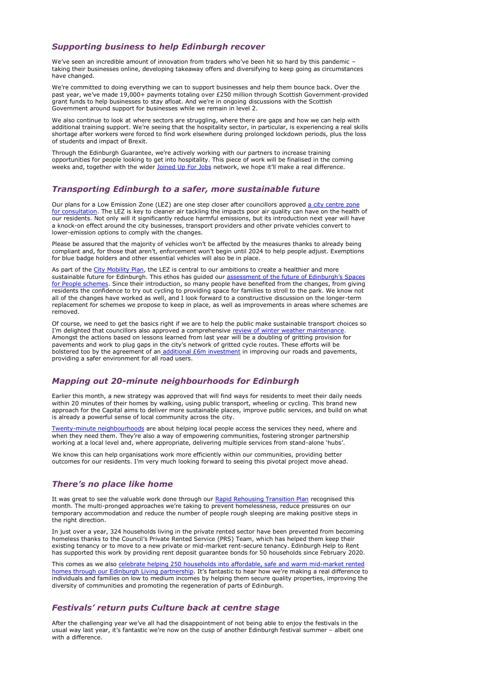#### *Supporting business to help Edinburgh recover*

We've seen an incredible amount of innovation from traders who've been hit so hard by this pandemic taking their businesses online, developing takeaway offers and diversifying to keep going as circumstances have changed.

We're committed to doing everything we can to support businesses and help them bounce back. Over the past year, we've made 19,000+ payments totaling over £250 million through Scottish Government-provided grant funds to help businesses to stay afloat. And we're in ongoing discussions with the Scottish Government around support for businesses while we remain in level 2.

Through the Edinburgh Guarantee, we're actively working with our partners to increase training opportunities for people looking to get into hospitality. This piece of work will be finalised in the coming weeks and, together with the wider loined Up For lobs network, we hope it'll make a real difference.

We also continue to look at where sectors are struggling, where there are gaps and how we can help with additional training support. We're seeing that the hospitality sector, in particular, is experiencing a real skills shortage after workers were forced to find work elsewhere during prolonged lockdown periods, plus the loss of students and impact of Brexit.

Our plans for a Low Emission Zone (LEZ) are one step closer after councillors approved a city centre zone [for consultation.](https://democracy.edinburgh.gov.uk/documents/s34876/7.4%20-%20LEZ%20Preferred%20Scheme_Final.pdf) The LEZ is key to cleaner air tackling the impacts poor air quality can have on the health of our residents. Not only will it significantly reduce harmful emissions, but its introduction next year will have a knock-on effect around the city businesses, transport providers and other private vehicles convert to lower-emission options to comply with the changes.

### *Transporting Edinburgh to a safer, more sustainable future*

Please be assured that the majority of vehicles won't be affected by the measures thanks to already being compliant and, for those that aren't, enforcement won't begin until 2024 to help people adjust. Exemptions for blue badge holders and other essential vehicles will also be in place.

As part of the [City Mobility Plan,](https://www.edinburgh.gov.uk/city-mobility-plan-1) the LEZ is central to our ambitions to create a healthier and more sustainable future for Edinburgh. This ethos has guided our [assessment of the future of Edinburgh's Spaces](https://democracy.edinburgh.gov.uk/documents/s34888/7.1%20-%20Potential%20Retention%20of%20SfP%20measures.pdf)  [for People schemes.](https://democracy.edinburgh.gov.uk/documents/s34888/7.1%20-%20Potential%20Retention%20of%20SfP%20measures.pdf) Since their introduction, so many people have benefited from the changes, from giving residents the confidence to try out cycling to providing space for families to stroll to the park. We know not all of the changes have worked as well, and I look forward to a constructive discussion on the longer-term replacement for schemes we propose to keep in place, as well as improvements in areas where schemes are removed.

Of course, we need to get the basics right if we are to help the public make sustainable transport choices so I'm delighted that councillors also approved a comprehensive [review of winter weather maintenance.](https://democracy.edinburgh.gov.uk/documents/s34877/7.5%20-%20Winter%20Maintenance%20Review%20-%202020-21_170621_v1.6.pdf) Amongst the actions based on lessons learned from last year will be a doubling of gritting provision for pavements and work to plug gaps in the city's network of gritted cycle routes. These efforts will be bolstered too by the agreement of an additional *£6m* investment in improving our roads and pavements, providing a safer environment for all road users.

### *Mapping out 20-minute neighbourhoods for Edinburgh*

Earlier this month, a new strategy was approved that will find ways for residents to meet their daily needs within 20 minutes of their homes by walking, using public transport, wheeling or cycling. This brand new approach for the Capital aims to deliver more sustainable places, improve public services, and build on what is already a powerful sense of local community across the city.

[Twenty-minute neighbourhoods](https://democracy.edinburgh.gov.uk/documents/s34667/Item%207.10%20-%2020-Minute%20Neighbourhood%20Strategy%20-%20Living%20Well%20Locally.pdf) are about helping local people access the services they need, where and when they need them. They're also a way of empowering communities, fostering stronger partnership working at a local level and, where appropriate, delivering multiple services from stand-alone 'hubs'.

We know this can help organisations work more efficiently within our communities, providing better outcomes for our residents. I'm very much looking forward to seeing this pivotal project move ahead.

### *There's no place like home*

It was great to see the valuable work done through our [Rapid Rehousing Transition Plan](https://www.edinburgh.gov.uk/news/article/13228/edinburgh-council-prevents-more-than-300-households-falling-into-homelessness-thanks-to-new-approaches) recognised this month. The multi-pronged approaches we're taking to prevent homelessness, reduce pressures on our temporary accommodation and reduce the number of people rough sleeping are making positive steps in

the right direction.

In just over a year, 324 households living in the private rented sector have been prevented from becoming homeless thanks to the Council's Private Rented Service (PRS) Team, which has helped them keep their existing tenancy or to move to a new private or mid-market rent-secure tenancy. Edinburgh Help to Rent has supported this work by providing rent deposit guarantee bonds for 50 households since February 2020.

This comes as we also [celebrate helping 250 households into affordable, safe and warm mid-market rented](https://www.edinburgh.gov.uk/news/article/13233/edinburgh-living-celebrates-housing-its-first-250-tenants-in-affordable-and-energy-efficient-homes)  [homes through our Edinburgh Living partnership](https://www.edinburgh.gov.uk/news/article/13233/edinburgh-living-celebrates-housing-its-first-250-tenants-in-affordable-and-energy-efficient-homes). It's fantastic to hear how we're making a real difference to individuals and families on low to medium incomes by helping them secure quality properties, improving the diversity of communities and promoting the regeneration of parts of Edinburgh.

#### *Festivals' return puts Culture back at centre stage*

After the challenging year we've all had the disappointment of not being able to enjoy the festivals in the usual way last year, it's fantastic we're now on the cusp of another Edinburgh festival summer – albeit one with a difference.